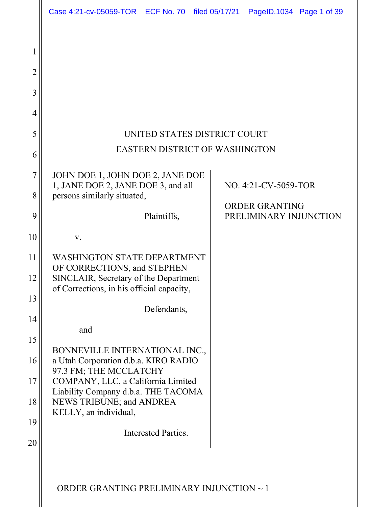|                     | Case 4:21-cv-05059-TOR ECF No. 70 filed 05/17/21 PageID.1034 Page 1 of 39                        |                     |  |  |                                                 |  |  |
|---------------------|--------------------------------------------------------------------------------------------------|---------------------|--|--|-------------------------------------------------|--|--|
| $\overline{2}$<br>3 |                                                                                                  |                     |  |  |                                                 |  |  |
| 4                   |                                                                                                  |                     |  |  |                                                 |  |  |
| 5                   | UNITED STATES DISTRICT COURT                                                                     |                     |  |  |                                                 |  |  |
| 6                   | <b>EASTERN DISTRICT OF WASHINGTON</b>                                                            |                     |  |  |                                                 |  |  |
| 7                   | JOHN DOE 1, JOHN DOE 2, JANE DOE<br>1, JANE DOE 2, JANE DOE 3, and all                           |                     |  |  | NO. 4:21-CV-5059-TOR                            |  |  |
| 8                   | persons similarly situated,                                                                      |                     |  |  |                                                 |  |  |
| 9                   |                                                                                                  | Plaintiffs,         |  |  | <b>ORDER GRANTING</b><br>PRELIMINARY INJUNCTION |  |  |
| 10                  | V.                                                                                               |                     |  |  |                                                 |  |  |
| 11                  | <b>WASHINGTON STATE DEPARTMENT</b><br>OF CORRECTIONS, and STEPHEN                                |                     |  |  |                                                 |  |  |
| 12                  | SINCLAIR, Secretary of the Department<br>of Corrections, in his official capacity,               |                     |  |  |                                                 |  |  |
| 13                  |                                                                                                  | Defendants,         |  |  |                                                 |  |  |
| 14                  |                                                                                                  |                     |  |  |                                                 |  |  |
| 15                  | and                                                                                              |                     |  |  |                                                 |  |  |
| 16                  | BONNEVILLE INTERNATIONAL INC.,<br>a Utah Corporation d.b.a. KIRO RADIO<br>97.3 FM; THE MCCLATCHY |                     |  |  |                                                 |  |  |
| 17                  | COMPANY, LLC, a California Limited<br>Liability Company d.b.a. THE TACOMA                        |                     |  |  |                                                 |  |  |
| 18                  | NEWS TRIBUNE; and ANDREA<br>KELLY, an individual,                                                |                     |  |  |                                                 |  |  |
| 19                  |                                                                                                  | Interested Parties. |  |  |                                                 |  |  |
| 20                  |                                                                                                  |                     |  |  |                                                 |  |  |
|                     |                                                                                                  |                     |  |  |                                                 |  |  |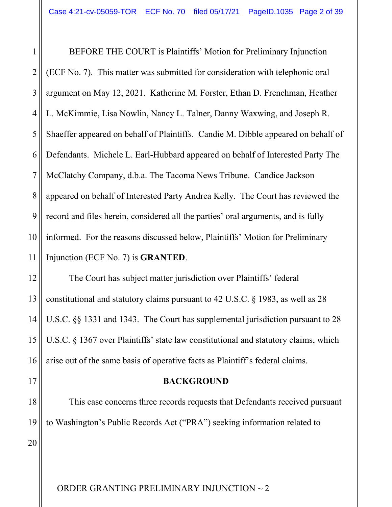1 2 3 4 5 6 7 8 9 10 11 BEFORE THE COURT is Plaintiffs' Motion for Preliminary Injunction (ECF No. 7). This matter was submitted for consideration with telephonic oral argument on May 12, 2021. Katherine M. Forster, Ethan D. Frenchman, Heather L. McKimmie, Lisa Nowlin, Nancy L. Talner, Danny Waxwing, and Joseph R. Shaeffer appeared on behalf of Plaintiffs. Candie M. Dibble appeared on behalf of Defendants. Michele L. Earl-Hubbard appeared on behalf of Interested Party The McClatchy Company, d.b.a. The Tacoma News Tribune. Candice Jackson appeared on behalf of Interested Party Andrea Kelly. The Court has reviewed the record and files herein, considered all the parties' oral arguments, and is fully informed. For the reasons discussed below, Plaintiffs' Motion for Preliminary Injunction (ECF No. 7) is **GRANTED**.

12 13 14 15 16 The Court has subject matter jurisdiction over Plaintiffs' federal constitutional and statutory claims pursuant to 42 U.S.C. § 1983, as well as 28 U.S.C. §§ 1331 and 1343. The Court has supplemental jurisdiction pursuant to 28 U.S.C. § 1367 over Plaintiffs' state law constitutional and statutory claims, which arise out of the same basis of operative facts as Plaintiff's federal claims.

#### **BACKGROUND**

18 19 This case concerns three records requests that Defendants received pursuant to Washington's Public Records Act ("PRA") seeking information related to

20

17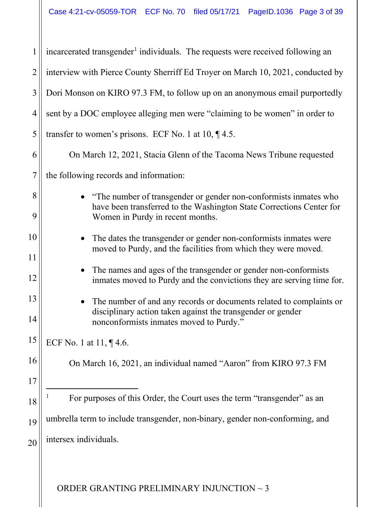<span id="page-2-0"></span>

| 1              | incarcerated transgender <sup>1</sup> individuals. The requests were received following an                                               |
|----------------|------------------------------------------------------------------------------------------------------------------------------------------|
| $\overline{2}$ | interview with Pierce County Sherriff Ed Troyer on March 10, 2021, conducted by                                                          |
| 3              | Dori Monson on KIRO 97.3 FM, to follow up on an anonymous email purportedly                                                              |
| 4              | sent by a DOC employee alleging men were "claiming to be women" in order to                                                              |
| 5              | transfer to women's prisons. ECF No. 1 at 10, $\P$ 4.5.                                                                                  |
| 6              | On March 12, 2021, Stacia Glenn of the Tacoma News Tribune requested                                                                     |
| $\overline{7}$ | the following records and information:                                                                                                   |
| 8              | "The number of transgender or gender non-conformists inmates who                                                                         |
| 9              | have been transferred to the Washington State Corrections Center for<br>Women in Purdy in recent months.                                 |
| 10             | The dates the transgender or gender non-conformists inmates were                                                                         |
| 11             | moved to Purdy, and the facilities from which they were moved.                                                                           |
| 12             | The names and ages of the transgender or gender non-conformists<br>inmates moved to Purdy and the convictions they are serving time for. |
| 13             | The number of and any records or documents related to complaints or<br>$\bullet$                                                         |
| 14             | disciplinary action taken against the transgender or gender<br>nonconformists inmates moved to Purdy."                                   |
| 15             | ECF No. 1 at 11, ¶4.6.                                                                                                                   |
| 16             | On March 16, 2021, an individual named "Aaron" from KIRO 97.3 FM                                                                         |
| 17             |                                                                                                                                          |
| 18             | For purposes of this Order, the Court uses the term "transgender" as an                                                                  |
| 19             | umbrella term to include transgender, non-binary, gender non-conforming, and                                                             |
| 20             | intersex individuals.                                                                                                                    |
|                |                                                                                                                                          |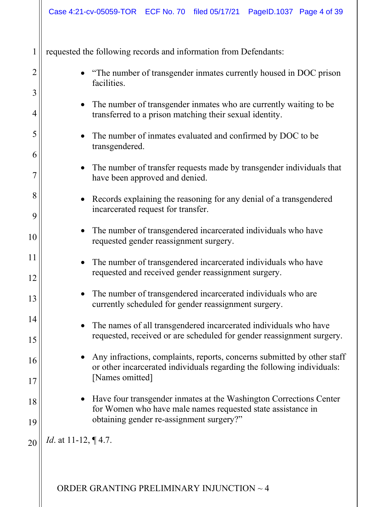|             | Case 4:21-cv-05059-TOR ECF No. 70 filed 05/17/21 PageID.1037 Page 4 of 39                                                                                                                                                 |
|-------------|---------------------------------------------------------------------------------------------------------------------------------------------------------------------------------------------------------------------------|
| 1<br>2<br>3 | requested the following records and information from Defendants:<br>"The number of transgender inmates currently housed in DOC prison<br>facilities.<br>The number of transgender inmates who are currently waiting to be |
| 4<br>5      | transferred to a prison matching their sexual identity.<br>The number of inmates evaluated and confirmed by DOC to be                                                                                                     |
| 6           | transgendered.<br>The number of transfer requests made by transgender individuals that<br>$\bullet$<br>have been approved and denied.                                                                                     |
| 8<br>9      | Records explaining the reasoning for any denial of a transgendered<br>$\bullet$<br>incarcerated request for transfer.                                                                                                     |
| 10<br>11    | The number of transgendered incarcerated individuals who have<br>requested gender reassignment surgery.<br>The number of transgendered incarcerated individuals who have<br>$\bullet$                                     |
| 12<br>13    | requested and received gender reassignment surgery.<br>The number of transgendered incarcerated individuals who are                                                                                                       |
| 14<br>15    | currently scheduled for gender reassignment surgery.<br>The names of all transgendered incarcerated individuals who have<br>requested, received or are scheduled for gender reassignment surgery.                         |
| 16<br>17    | Any infractions, complaints, reports, concerns submitted by other staff<br>or other incarcerated individuals regarding the following individuals:<br>[Names omitted]                                                      |
| 18<br>19    | Have four transgender inmates at the Washington Corrections Center<br>for Women who have male names requested state assistance in<br>obtaining gender re-assignment surgery?"                                             |
| 20          | <i>Id.</i> at 11-12, ¶ 4.7.                                                                                                                                                                                               |
|             | ORDER GRANTING PRELIMINARY INJUNCTION ~ 4                                                                                                                                                                                 |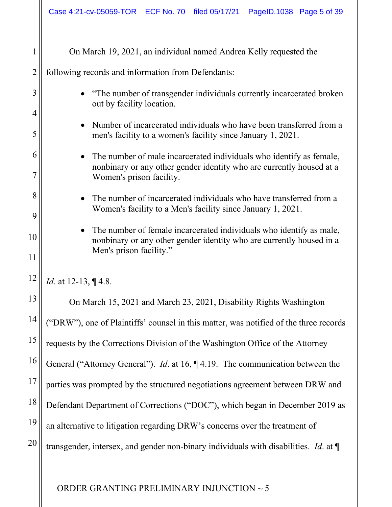|                | Case 4:21-cv-05059-TOR ECF No. 70 filed 05/17/21 PageID.1038 Page 5 of 39                                                                                |  |  |  |  |  |  |
|----------------|----------------------------------------------------------------------------------------------------------------------------------------------------------|--|--|--|--|--|--|
| 1              | On March 19, 2021, an individual named Andrea Kelly requested the                                                                                        |  |  |  |  |  |  |
| $\overline{2}$ | following records and information from Defendants:                                                                                                       |  |  |  |  |  |  |
| 3<br>4         | "The number of transgender individuals currently incarcerated broken<br>out by facility location.                                                        |  |  |  |  |  |  |
| 5              | Number of incarcerated individuals who have been transferred from a<br>$\bullet$<br>men's facility to a women's facility since January 1, 2021.          |  |  |  |  |  |  |
| 6              | The number of male incarcerated individuals who identify as female,<br>$\bullet$                                                                         |  |  |  |  |  |  |
|                | nonbinary or any other gender identity who are currently housed at a<br>Women's prison facility.                                                         |  |  |  |  |  |  |
| 8              | The number of incarcerated individuals who have transferred from a<br>$\bullet$                                                                          |  |  |  |  |  |  |
| 9              | Women's facility to a Men's facility since January 1, 2021.                                                                                              |  |  |  |  |  |  |
| 10             | The number of female incarcerated individuals who identify as male,<br>$\bullet$<br>nonbinary or any other gender identity who are currently housed in a |  |  |  |  |  |  |
| 11             | Men's prison facility."                                                                                                                                  |  |  |  |  |  |  |
| 12             | Id. at 12-13, ¶4.8.                                                                                                                                      |  |  |  |  |  |  |
| 13             | On March 15, 2021 and March 23, 2021, Disability Rights Washington                                                                                       |  |  |  |  |  |  |
| 14             | ("DRW"), one of Plaintiffs' counsel in this matter, was notified of the three records                                                                    |  |  |  |  |  |  |
| 15             | requests by the Corrections Division of the Washington Office of the Attorney                                                                            |  |  |  |  |  |  |
| 16             | General ("Attorney General"). <i>Id.</i> at 16, $\P$ 4.19. The communication between the                                                                 |  |  |  |  |  |  |
| 17             | parties was prompted by the structured negotiations agreement between DRW and                                                                            |  |  |  |  |  |  |
| 18             | Defendant Department of Corrections ("DOC"), which began in December 2019 as                                                                             |  |  |  |  |  |  |
| 19             | an alternative to litigation regarding DRW's concerns over the treatment of                                                                              |  |  |  |  |  |  |
| 20             | transgender, intersex, and gender non-binary individuals with disabilities. <i>Id.</i> at $\P$                                                           |  |  |  |  |  |  |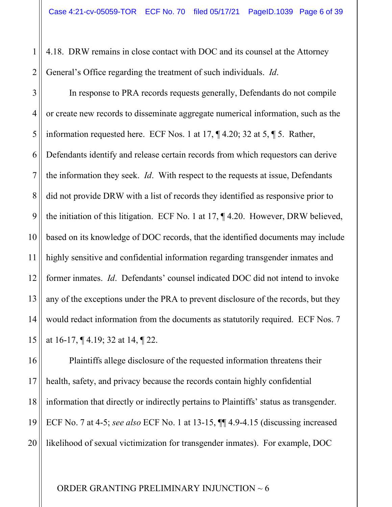2 4.18. DRW remains in close contact with DOC and its counsel at the Attorney General's Office regarding the treatment of such individuals. *Id*.

1

3 4 5 6 7 8 9 10 11 12 13 14 15 In response to PRA records requests generally, Defendants do not compile or create new records to disseminate aggregate numerical information, such as the information requested here. ECF Nos. 1 at 17, ¶ 4.20; 32 at 5, ¶ 5. Rather, Defendants identify and release certain records from which requestors can derive the information they seek. *Id*. With respect to the requests at issue, Defendants did not provide DRW with a list of records they identified as responsive prior to the initiation of this litigation. ECF No. 1 at 17, ¶ 4.20. However, DRW believed, based on its knowledge of DOC records, that the identified documents may include highly sensitive and confidential information regarding transgender inmates and former inmates. *Id*. Defendants' counsel indicated DOC did not intend to invoke any of the exceptions under the PRA to prevent disclosure of the records, but they would redact information from the documents as statutorily required. ECF Nos. 7 at 16-17, ¶ 4.19; 32 at 14, ¶ 22.

16 17 18 19 20 Plaintiffs allege disclosure of the requested information threatens their health, safety, and privacy because the records contain highly confidential information that directly or indirectly pertains to Plaintiffs' status as transgender. ECF No. 7 at 4-5; *see also* ECF No. 1 at 13-15, ¶¶ 4.9-4.15 (discussing increased likelihood of sexual victimization for transgender inmates). For example, DOC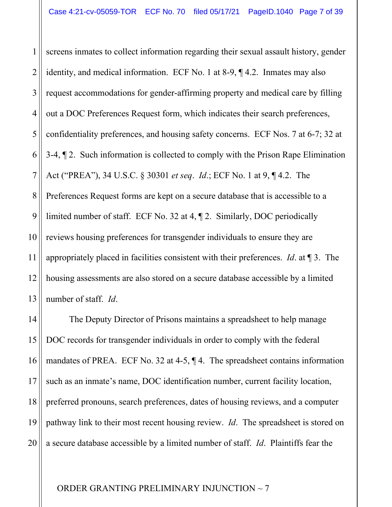1 2 3 4 5 6 7 8 9 10 11 12 13 screens inmates to collect information regarding their sexual assault history, gender identity, and medical information. ECF No. 1 at 8-9, ¶ 4.2. Inmates may also request accommodations for gender-affirming property and medical care by filling out a DOC Preferences Request form, which indicates their search preferences, confidentiality preferences, and housing safety concerns. ECF Nos. 7 at 6-7; 32 at 3-4, ¶ 2. Such information is collected to comply with the Prison Rape Elimination Act ("PREA"), 34 U.S.C. § 30301 *et seq*. *Id*.; ECF No. 1 at 9, ¶ 4.2. The Preferences Request forms are kept on a secure database that is accessible to a limited number of staff. ECF No. 32 at 4, ¶ 2. Similarly, DOC periodically reviews housing preferences for transgender individuals to ensure they are appropriately placed in facilities consistent with their preferences. *Id*. at ¶ 3. The housing assessments are also stored on a secure database accessible by a limited number of staff. *Id*.

14 15 16 17 18 19 20 The Deputy Director of Prisons maintains a spreadsheet to help manage DOC records for transgender individuals in order to comply with the federal mandates of PREA. ECF No. 32 at 4-5, ¶ 4. The spreadsheet contains information such as an inmate's name, DOC identification number, current facility location, preferred pronouns, search preferences, dates of housing reviews, and a computer pathway link to their most recent housing review. *Id*. The spreadsheet is stored on a secure database accessible by a limited number of staff. *Id*. Plaintiffs fear the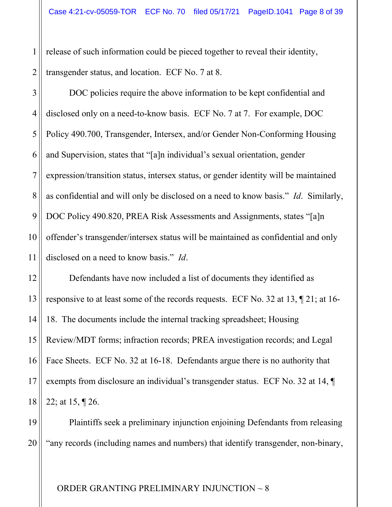2 release of such information could be pieced together to reveal their identity, transgender status, and location. ECF No. 7 at 8.

1

3 4 5 6 7 8 9 10 11 DOC policies require the above information to be kept confidential and disclosed only on a need-to-know basis. ECF No. 7 at 7. For example, DOC Policy 490.700, Transgender, Intersex, and/or Gender Non-Conforming Housing and Supervision, states that "[a]n individual's sexual orientation, gender expression/transition status, intersex status, or gender identity will be maintained as confidential and will only be disclosed on a need to know basis." *Id*. Similarly, DOC Policy 490.820, PREA Risk Assessments and Assignments, states "[a]n offender's transgender/intersex status will be maintained as confidential and only disclosed on a need to know basis." *Id*.

12 13 14 15 16 17 18 Defendants have now included a list of documents they identified as responsive to at least some of the records requests. ECF No. 32 at 13, ¶ 21; at 16- 18. The documents include the internal tracking spreadsheet; Housing Review/MDT forms; infraction records; PREA investigation records; and Legal Face Sheets. ECF No. 32 at 16-18. Defendants argue there is no authority that exempts from disclosure an individual's transgender status. ECF No. 32 at 14, ¶ 22; at 15, ¶ 26.

19 20 Plaintiffs seek a preliminary injunction enjoining Defendants from releasing "any records (including names and numbers) that identify transgender, non-binary,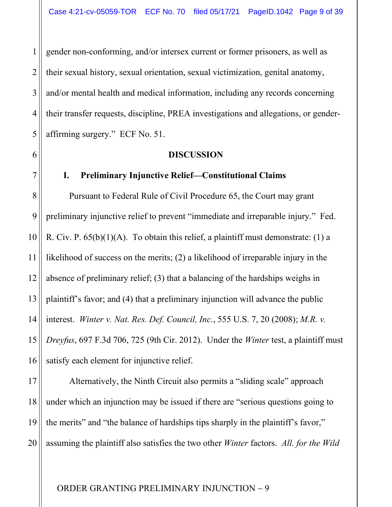4 gender non-conforming, and/or intersex current or former prisoners, as well as their sexual history, sexual orientation, sexual victimization, genital anatomy, and/or mental health and medical information, including any records concerning their transfer requests, discipline, PREA investigations and allegations, or genderaffirming surgery." ECF No. 51.

1

2

3

5

6

7

#### **DISCUSSION**

# **I. Preliminary Injunctive Relief—Constitutional Claims**

8 9 10 11 12 13 14 15 16 Pursuant to Federal Rule of Civil Procedure 65, the Court may grant preliminary injunctive relief to prevent "immediate and irreparable injury." Fed. R. Civ. P.  $65(b)(1)(A)$ . To obtain this relief, a plaintiff must demonstrate: (1) a likelihood of success on the merits; (2) a likelihood of irreparable injury in the absence of preliminary relief; (3) that a balancing of the hardships weighs in plaintiff's favor; and (4) that a preliminary injunction will advance the public interest. *Winter v. Nat. Res. Def. Council, Inc.*, 555 U.S. 7, 20 (2008); *M.R. v. Dreyfus*, 697 F.3d 706, 725 (9th Cir. 2012). Under the *Winter* test, a plaintiff must satisfy each element for injunctive relief.

17 18 19 20 Alternatively, the Ninth Circuit also permits a "sliding scale" approach under which an injunction may be issued if there are "serious questions going to the merits" and "the balance of hardships tips sharply in the plaintiff's favor," assuming the plaintiff also satisfies the two other *Winter* factors. *All. for the Wild*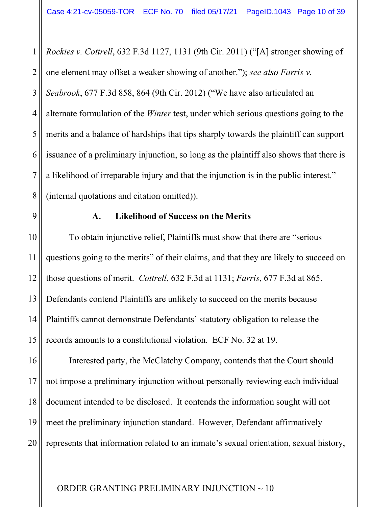1 2 3 4 5 6 7 8 *Rockies v. Cottrell*, 632 F.3d 1127, 1131 (9th Cir. 2011) ("[A] stronger showing of one element may offset a weaker showing of another."); *see also Farris v. Seabrook*, 677 F.3d 858, 864 (9th Cir. 2012) ("We have also articulated an alternate formulation of the *Winter* test, under which serious questions going to the merits and a balance of hardships that tips sharply towards the plaintiff can support issuance of a preliminary injunction, so long as the plaintiff also shows that there is a likelihood of irreparable injury and that the injunction is in the public interest." (internal quotations and citation omitted)).

9

# **A. Likelihood of Success on the Merits**

10 11 12 13 14 15 To obtain injunctive relief, Plaintiffs must show that there are "serious questions going to the merits" of their claims, and that they are likely to succeed on those questions of merit. *Cottrell*, 632 F.3d at 1131; *Farris*, 677 F.3d at 865. Defendants contend Plaintiffs are unlikely to succeed on the merits because Plaintiffs cannot demonstrate Defendants' statutory obligation to release the records amounts to a constitutional violation. ECF No. 32 at 19.

16 17 18 19 20 Interested party, the McClatchy Company, contends that the Court should not impose a preliminary injunction without personally reviewing each individual document intended to be disclosed. It contends the information sought will not meet the preliminary injunction standard. However, Defendant affirmatively represents that information related to an inmate's sexual orientation, sexual history,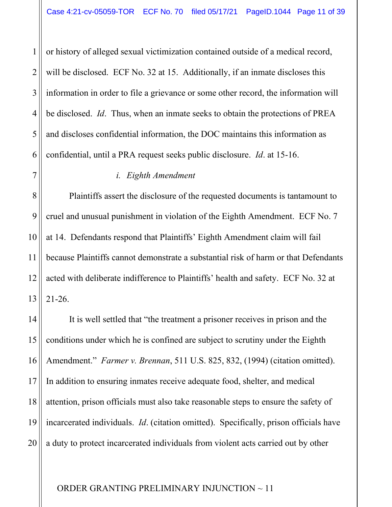1 2 3 4 5 6 or history of alleged sexual victimization contained outside of a medical record, will be disclosed. ECF No. 32 at 15. Additionally, if an inmate discloses this information in order to file a grievance or some other record, the information will be disclosed. *Id*. Thus, when an inmate seeks to obtain the protections of PREA and discloses confidential information, the DOC maintains this information as confidential, until a PRA request seeks public disclosure. *Id*. at 15-16.

## *i. Eighth Amendment*

7

8 9 10 11 12 13 Plaintiffs assert the disclosure of the requested documents is tantamount to cruel and unusual punishment in violation of the Eighth Amendment. ECF No. 7 at 14. Defendants respond that Plaintiffs' Eighth Amendment claim will fail because Plaintiffs cannot demonstrate a substantial risk of harm or that Defendants acted with deliberate indifference to Plaintiffs' health and safety. ECF No. 32 at 21-26.

14 15 16 17 18 19 20 It is well settled that "the treatment a prisoner receives in prison and the conditions under which he is confined are subject to scrutiny under the Eighth Amendment." *Farmer v. Brennan*, 511 U.S. 825, 832, (1994) (citation omitted). In addition to ensuring inmates receive adequate food, shelter, and medical attention, prison officials must also take reasonable steps to ensure the safety of incarcerated individuals. *Id*. (citation omitted). Specifically, prison officials have a duty to protect incarcerated individuals from violent acts carried out by other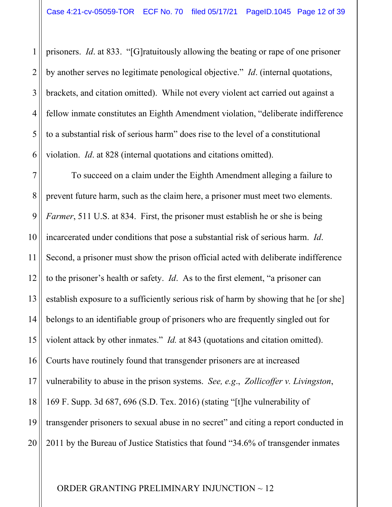1 2 3 4 5 6 prisoners. *Id*. at 833. "[G]ratuitously allowing the beating or rape of one prisoner by another serves no legitimate penological objective." *Id*. (internal quotations, brackets, and citation omitted). While not every violent act carried out against a fellow inmate constitutes an Eighth Amendment violation, "deliberate indifference to a substantial risk of serious harm" does rise to the level of a constitutional violation. *Id*. at 828 (internal quotations and citations omitted).

7 8 9 10 11 12 13 14 15 16 17 18 19 20 To succeed on a claim under the Eighth Amendment alleging a failure to prevent future harm, such as the claim here, a prisoner must meet two elements. *Farmer*, 511 U.S. at 834. First, the prisoner must establish he or she is being incarcerated under conditions that pose a substantial risk of serious harm. *Id*. Second, a prisoner must show the prison official acted with deliberate indifference to the prisoner's health or safety. *Id*. As to the first element, "a prisoner can establish exposure to a sufficiently serious risk of harm by showing that he [or she] belongs to an identifiable group of prisoners who are frequently singled out for violent attack by other inmates." *Id.* at 843 (quotations and citation omitted). Courts have routinely found that transgender prisoners are at increased vulnerability to abuse in the prison systems. *See, e.g*., *Zollicoffer v. Livingston*, 169 F. Supp. 3d 687, 696 (S.D. Tex. 2016) (stating "[t]he vulnerability of transgender prisoners to sexual abuse in no secret" and citing a report conducted in 2011 by the Bureau of Justice Statistics that found "34.6% of transgender inmates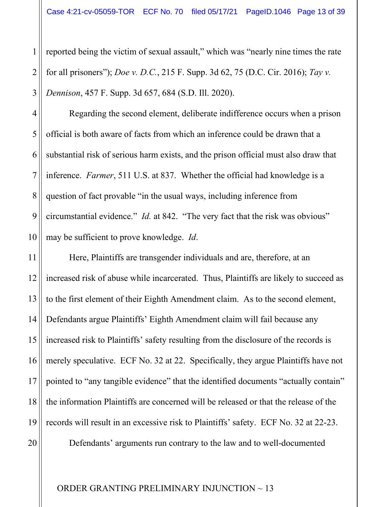1 2 3 reported being the victim of sexual assault," which was "nearly nine times the rate for all prisoners"); *Doe v. D.C.*, 215 F. Supp. 3d 62, 75 (D.C. Cir. 2016); *Tay v. Dennison*, 457 F. Supp. 3d 657, 684 (S.D. Ill. 2020).

4 5 6 7 8 9 10 Regarding the second element, deliberate indifference occurs when a prison official is both aware of facts from which an inference could be drawn that a substantial risk of serious harm exists, and the prison official must also draw that inference. *Farmer*, 511 U.S. at 837. Whether the official had knowledge is a question of fact provable "in the usual ways, including inference from circumstantial evidence." *Id.* at 842. "The very fact that the risk was obvious" may be sufficient to prove knowledge. *Id*.

11 12 13 14 15 16 17 18 19 Here, Plaintiffs are transgender individuals and are, therefore, at an increased risk of abuse while incarcerated. Thus, Plaintiffs are likely to succeed as to the first element of their Eighth Amendment claim. As to the second element, Defendants argue Plaintiffs' Eighth Amendment claim will fail because any increased risk to Plaintiffs' safety resulting from the disclosure of the records is merely speculative. ECF No. 32 at 22. Specifically, they argue Plaintiffs have not pointed to "any tangible evidence" that the identified documents "actually contain" the information Plaintiffs are concerned will be released or that the release of the records will result in an excessive risk to Plaintiffs' safety. ECF No. 32 at 22-23.

Defendants' arguments run contrary to the law and to well-documented

ORDER GRANTING PRELIMINARY INJUNCTION ~ 13

20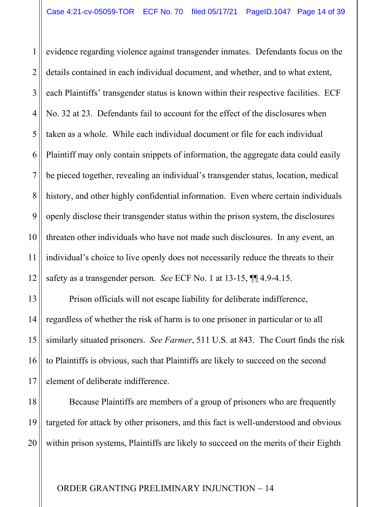1 2 3 4 5 6 7 8 9 10 11 12 evidence regarding violence against transgender inmates. Defendants focus on the details contained in each individual document, and whether, and to what extent, each Plaintiffs' transgender status is known within their respective facilities. ECF No. 32 at 23. Defendants fail to account for the effect of the disclosures when taken as a whole. While each individual document or file for each individual Plaintiff may only contain snippets of information, the aggregate data could easily be pieced together, revealing an individual's transgender status, location, medical history, and other highly confidential information. Even where certain individuals openly disclose their transgender status within the prison system, the disclosures threaten other individuals who have not made such disclosures. In any event, an individual's choice to live openly does not necessarily reduce the threats to their safety as a transgender person. *See* ECF No. 1 at 13-15, ¶¶ 4.9-4.15.

Prison officials will not escape liability for deliberate indifference, regardless of whether the risk of harm is to one prisoner in particular or to all similarly situated prisoners. *See Farmer*, 511 U.S. at 843. The Court finds the risk to Plaintiffs is obvious, such that Plaintiffs are likely to succeed on the second element of deliberate indifference.

13

14

15

16

17

18 19 20 Because Plaintiffs are members of a group of prisoners who are frequently targeted for attack by other prisoners, and this fact is well-understood and obvious within prison systems, Plaintiffs are likely to succeed on the merits of their Eighth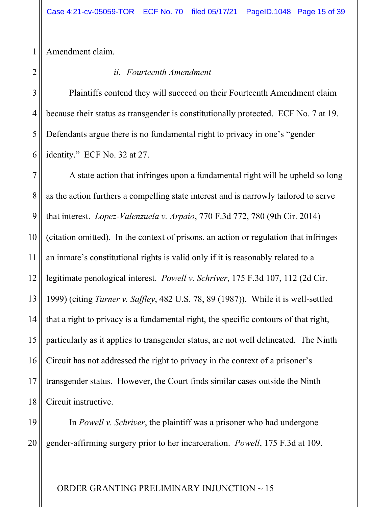Amendment claim.

1

2

3

4

5

*ii. Fourteenth Amendment*

6 Plaintiffs contend they will succeed on their Fourteenth Amendment claim because their status as transgender is constitutionally protected. ECF No. 7 at 19. Defendants argue there is no fundamental right to privacy in one's "gender identity." ECF No. 32 at 27.

7 8 9 10 11 12 13 14 15 16 17 18 A state action that infringes upon a fundamental right will be upheld so long as the action furthers a compelling state interest and is narrowly tailored to serve that interest. *Lopez-Valenzuela v. Arpaio*, 770 F.3d 772, 780 (9th Cir. 2014) (citation omitted). In the context of prisons, an action or regulation that infringes an inmate's constitutional rights is valid only if it is reasonably related to a legitimate penological interest. *Powell v. Schriver*, 175 F.3d 107, 112 (2d Cir. 1999) (citing *Turner v. Saffley*, 482 U.S. 78, 89 (1987)). While it is well-settled that a right to privacy is a fundamental right, the specific contours of that right, particularly as it applies to transgender status, are not well delineated. The Ninth Circuit has not addressed the right to privacy in the context of a prisoner's transgender status. However, the Court finds similar cases outside the Ninth Circuit instructive.

19 20 In *Powell v. Schriver*, the plaintiff was a prisoner who had undergone gender-affirming surgery prior to her incarceration. *Powell*, 175 F.3d at 109.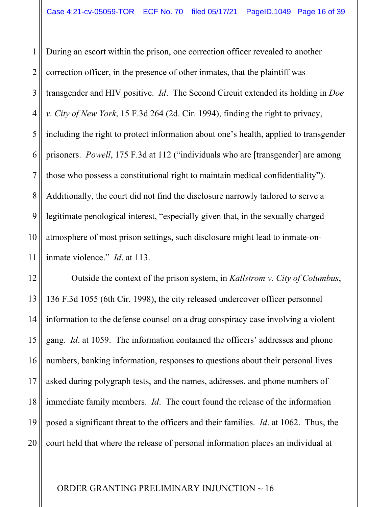1 2 3 4 5 6 7 8 9 10 11 During an escort within the prison, one correction officer revealed to another correction officer, in the presence of other inmates, that the plaintiff was transgender and HIV positive. *Id*. The Second Circuit extended its holding in *Doe v. City of New York*, 15 F.3d 264 (2d. Cir. 1994), finding the right to privacy, including the right to protect information about one's health, applied to transgender prisoners. *Powell*, 175 F.3d at 112 ("individuals who are [transgender] are among those who possess a constitutional right to maintain medical confidentiality"). Additionally, the court did not find the disclosure narrowly tailored to serve a legitimate penological interest, "especially given that, in the sexually charged atmosphere of most prison settings, such disclosure might lead to inmate-oninmate violence." *Id*. at 113.

12 13 14 15 16 17 18 19 20 Outside the context of the prison system, in *Kallstrom v. City of Columbus*, 136 F.3d 1055 (6th Cir. 1998), the city released undercover officer personnel information to the defense counsel on a drug conspiracy case involving a violent gang. *Id*. at 1059. The information contained the officers' addresses and phone numbers, banking information, responses to questions about their personal lives asked during polygraph tests, and the names, addresses, and phone numbers of immediate family members. *Id*. The court found the release of the information posed a significant threat to the officers and their families. *Id*. at 1062. Thus, the court held that where the release of personal information places an individual at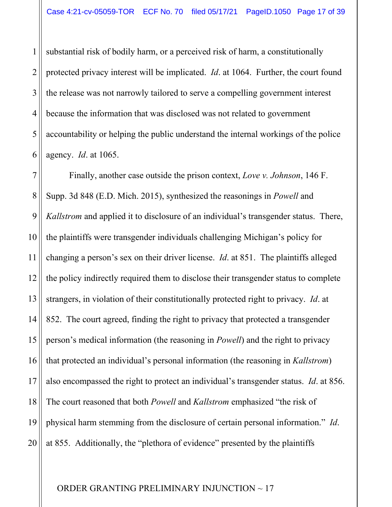1 2 3 4 5 6 substantial risk of bodily harm, or a perceived risk of harm, a constitutionally protected privacy interest will be implicated. *Id*. at 1064. Further, the court found the release was not narrowly tailored to serve a compelling government interest because the information that was disclosed was not related to government accountability or helping the public understand the internal workings of the police agency. *Id*. at 1065.

7 8 9 10 11 12 13 14 15 16 17 18 19 20 Finally, another case outside the prison context, *Love v. Johnson*, 146 F. Supp. 3d 848 (E.D. Mich. 2015), synthesized the reasonings in *Powell* and *Kallstrom* and applied it to disclosure of an individual's transgender status. There, the plaintiffs were transgender individuals challenging Michigan's policy for changing a person's sex on their driver license. *Id*. at 851. The plaintiffs alleged the policy indirectly required them to disclose their transgender status to complete strangers, in violation of their constitutionally protected right to privacy. *Id*. at 852. The court agreed, finding the right to privacy that protected a transgender person's medical information (the reasoning in *Powell*) and the right to privacy that protected an individual's personal information (the reasoning in *Kallstrom*) also encompassed the right to protect an individual's transgender status. *Id*. at 856. The court reasoned that both *Powell* and *Kallstrom* emphasized "the risk of physical harm stemming from the disclosure of certain personal information." *Id*. at 855. Additionally, the "plethora of evidence" presented by the plaintiffs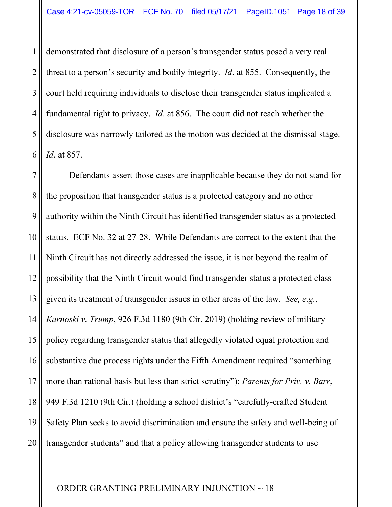1 2 3 4 5 6 demonstrated that disclosure of a person's transgender status posed a very real threat to a person's security and bodily integrity. *Id*. at 855. Consequently, the court held requiring individuals to disclose their transgender status implicated a fundamental right to privacy. *Id*. at 856. The court did not reach whether the disclosure was narrowly tailored as the motion was decided at the dismissal stage. *Id*. at 857.

7 8 9 10 11 12 13 14 15 16 17 18 19 20 Defendants assert those cases are inapplicable because they do not stand for the proposition that transgender status is a protected category and no other authority within the Ninth Circuit has identified transgender status as a protected status. ECF No. 32 at 27-28. While Defendants are correct to the extent that the Ninth Circuit has not directly addressed the issue, it is not beyond the realm of possibility that the Ninth Circuit would find transgender status a protected class given its treatment of transgender issues in other areas of the law. *See, e.g.*, *Karnoski v. Trump*, 926 F.3d 1180 (9th Cir. 2019) (holding review of military policy regarding transgender status that allegedly violated equal protection and substantive due process rights under the Fifth Amendment required "something more than rational basis but less than strict scrutiny"); *Parents for Priv. v. Barr*, 949 F.3d 1210 (9th Cir.) (holding a school district's "carefully-crafted Student Safety Plan seeks to avoid discrimination and ensure the safety and well-being of transgender students" and that a policy allowing transgender students to use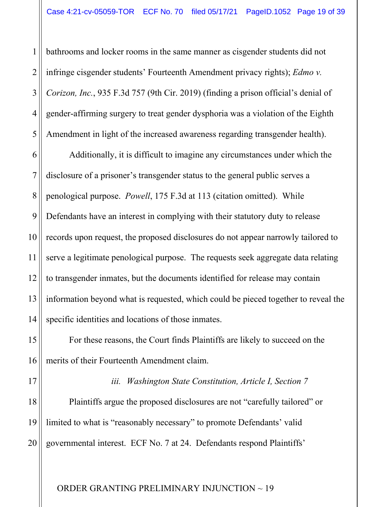1 2 3 4 5 bathrooms and locker rooms in the same manner as cisgender students did not infringe cisgender students' Fourteenth Amendment privacy rights); *Edmo v. Corizon, Inc.*, 935 F.3d 757 (9th Cir. 2019) (finding a prison official's denial of gender-affirming surgery to treat gender dysphoria was a violation of the Eighth Amendment in light of the increased awareness regarding transgender health).

6 7 8 9 10 11 12 13 14 Additionally, it is difficult to imagine any circumstances under which the disclosure of a prisoner's transgender status to the general public serves a penological purpose. *Powell*, 175 F.3d at 113 (citation omitted). While Defendants have an interest in complying with their statutory duty to release records upon request, the proposed disclosures do not appear narrowly tailored to serve a legitimate penological purpose. The requests seek aggregate data relating to transgender inmates, but the documents identified for release may contain information beyond what is requested, which could be pieced together to reveal the specific identities and locations of those inmates.

For these reasons, the Court finds Plaintiffs are likely to succeed on the merits of their Fourteenth Amendment claim.

17

15

16

*iii. Washington State Constitution, Article I, Section 7*

18 19 20 Plaintiffs argue the proposed disclosures are not "carefully tailored" or limited to what is "reasonably necessary" to promote Defendants' valid governmental interest. ECF No. 7 at 24. Defendants respond Plaintiffs'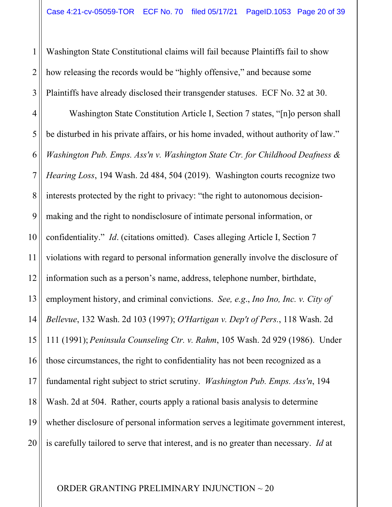1 2 3 Washington State Constitutional claims will fail because Plaintiffs fail to show how releasing the records would be "highly offensive," and because some Plaintiffs have already disclosed their transgender statuses. ECF No. 32 at 30.

4 5 6 7 8 9 10 11 12 13 14 15 16 17 18 19 20 Washington State Constitution Article I, Section 7 states, "[n]o person shall be disturbed in his private affairs, or his home invaded, without authority of law." *Washington Pub. Emps. Ass'n v. Washington State Ctr. for Childhood Deafness & Hearing Loss*, 194 Wash. 2d 484, 504 (2019). Washington courts recognize two interests protected by the right to privacy: "the right to autonomous decisionmaking and the right to nondisclosure of intimate personal information, or confidentiality." *Id*. (citations omitted). Cases alleging Article I, Section 7 violations with regard to personal information generally involve the disclosure of information such as a person's name, address, telephone number, birthdate, employment history, and criminal convictions. *See, e.g*., *Ino Ino, Inc. v. City of Bellevue*, 132 Wash. 2d 103 (1997); *O'Hartigan v. Dep't of Pers.*, 118 Wash. 2d 111 (1991); *Peninsula Counseling Ctr. v. Rahm*, 105 Wash. 2d 929 (1986). Under those circumstances, the right to confidentiality has not been recognized as a fundamental right subject to strict scrutiny. *Washington Pub. Emps. Ass'n*, 194 Wash. 2d at 504. Rather, courts apply a rational basis analysis to determine whether disclosure of personal information serves a legitimate government interest, is carefully tailored to serve that interest, and is no greater than necessary. *Id* at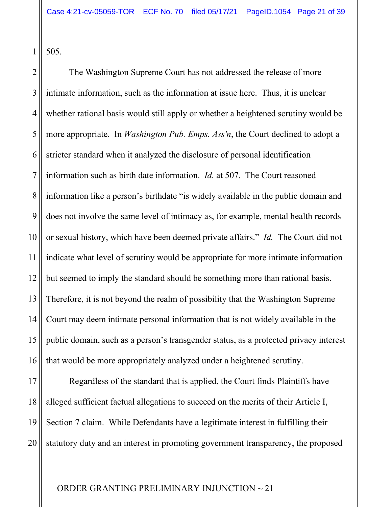505.

1

2 3 4 5 6 7 8 9 10 11 12 13 14 15 16 The Washington Supreme Court has not addressed the release of more intimate information, such as the information at issue here. Thus, it is unclear whether rational basis would still apply or whether a heightened scrutiny would be more appropriate. In *Washington Pub. Emps. Ass'n*, the Court declined to adopt a stricter standard when it analyzed the disclosure of personal identification information such as birth date information. *Id.* at 507. The Court reasoned information like a person's birthdate "is widely available in the public domain and does not involve the same level of intimacy as, for example, mental health records or sexual history, which have been deemed private affairs." *Id.* The Court did not indicate what level of scrutiny would be appropriate for more intimate information but seemed to imply the standard should be something more than rational basis. Therefore, it is not beyond the realm of possibility that the Washington Supreme Court may deem intimate personal information that is not widely available in the public domain, such as a person's transgender status, as a protected privacy interest that would be more appropriately analyzed under a heightened scrutiny.

17 18 19 20 Regardless of the standard that is applied, the Court finds Plaintiffs have alleged sufficient factual allegations to succeed on the merits of their Article I, Section 7 claim. While Defendants have a legitimate interest in fulfilling their statutory duty and an interest in promoting government transparency, the proposed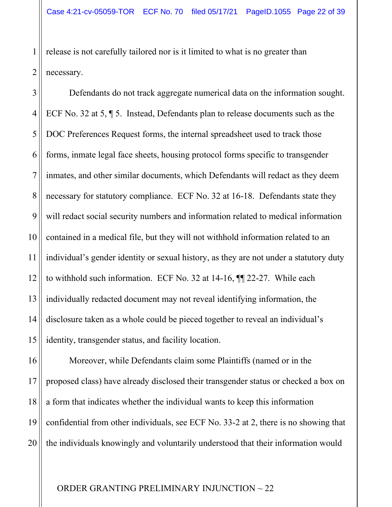2 release is not carefully tailored nor is it limited to what is no greater than necessary.

1

3 4 5 6 7 8 9 10 11 12 13 14 15 Defendants do not track aggregate numerical data on the information sought. ECF No. 32 at 5, ¶ 5. Instead, Defendants plan to release documents such as the DOC Preferences Request forms, the internal spreadsheet used to track those forms, inmate legal face sheets, housing protocol forms specific to transgender inmates, and other similar documents, which Defendants will redact as they deem necessary for statutory compliance. ECF No. 32 at 16-18. Defendants state they will redact social security numbers and information related to medical information contained in a medical file, but they will not withhold information related to an individual's gender identity or sexual history, as they are not under a statutory duty to withhold such information. ECF No. 32 at 14-16, ¶¶ 22-27. While each individually redacted document may not reveal identifying information, the disclosure taken as a whole could be pieced together to reveal an individual's identity, transgender status, and facility location.

16 17 18 19 20 Moreover, while Defendants claim some Plaintiffs (named or in the proposed class) have already disclosed their transgender status or checked a box on a form that indicates whether the individual wants to keep this information confidential from other individuals, see ECF No. 33-2 at 2, there is no showing that the individuals knowingly and voluntarily understood that their information would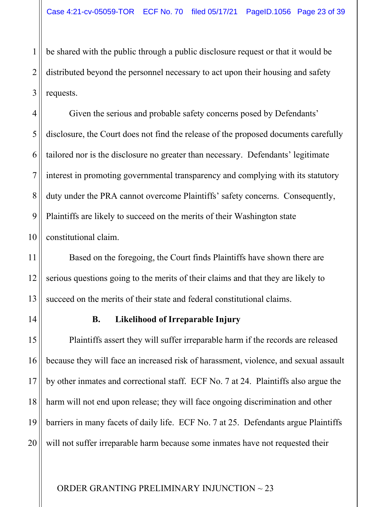1 2 3 be shared with the public through a public disclosure request or that it would be distributed beyond the personnel necessary to act upon their housing and safety requests.

4 5 6 7 8 9 10 Given the serious and probable safety concerns posed by Defendants' disclosure, the Court does not find the release of the proposed documents carefully tailored nor is the disclosure no greater than necessary. Defendants' legitimate interest in promoting governmental transparency and complying with its statutory duty under the PRA cannot overcome Plaintiffs' safety concerns. Consequently, Plaintiffs are likely to succeed on the merits of their Washington state constitutional claim.

Based on the foregoing, the Court finds Plaintiffs have shown there are serious questions going to the merits of their claims and that they are likely to succeed on the merits of their state and federal constitutional claims.

11

12

13

14

# **B. Likelihood of Irreparable Injury**

15 16 17 18 19 20 Plaintiffs assert they will suffer irreparable harm if the records are released because they will face an increased risk of harassment, violence, and sexual assault by other inmates and correctional staff. ECF No. 7 at 24. Plaintiffs also argue the harm will not end upon release; they will face ongoing discrimination and other barriers in many facets of daily life. ECF No. 7 at 25. Defendants argue Plaintiffs will not suffer irreparable harm because some inmates have not requested their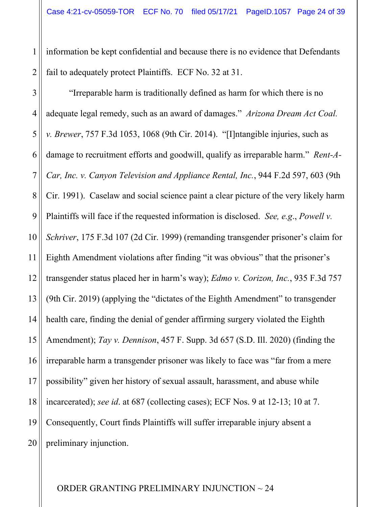1 2 information be kept confidential and because there is no evidence that Defendants fail to adequately protect Plaintiffs. ECF No. 32 at 31.

3 4 5 6 7 8 9 10 11 12 13 14 15 16 17 18 19 20 "Irreparable harm is traditionally defined as harm for which there is no adequate legal remedy, such as an award of damages." *Arizona Dream Act Coal. v. Brewer*, 757 F.3d 1053, 1068 (9th Cir. 2014). "[I]ntangible injuries, such as damage to recruitment efforts and goodwill, qualify as irreparable harm." *Rent-A-Car, Inc. v. Canyon Television and Appliance Rental, Inc.*, 944 F.2d 597, 603 (9th Cir. 1991). Caselaw and social science paint a clear picture of the very likely harm Plaintiffs will face if the requested information is disclosed. *See, e.g*., *Powell v. Schriver*, 175 F.3d 107 (2d Cir. 1999) (remanding transgender prisoner's claim for Eighth Amendment violations after finding "it was obvious" that the prisoner's transgender status placed her in harm's way); *Edmo v. Corizon, Inc.*, 935 F.3d 757 (9th Cir. 2019) (applying the "dictates of the Eighth Amendment" to transgender health care, finding the denial of gender affirming surgery violated the Eighth Amendment); *Tay v. Dennison*, 457 F. Supp. 3d 657 (S.D. Ill. 2020) (finding the irreparable harm a transgender prisoner was likely to face was "far from a mere possibility" given her history of sexual assault, harassment, and abuse while incarcerated); *see id*. at 687 (collecting cases); ECF Nos. 9 at 12-13; 10 at 7. Consequently, Court finds Plaintiffs will suffer irreparable injury absent a preliminary injunction.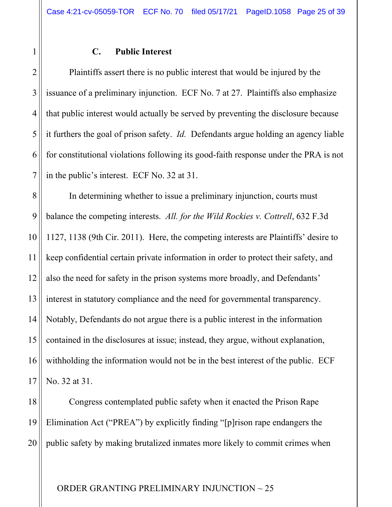#### **C. Public Interest**

1

2 3 4 5 6 7 Plaintiffs assert there is no public interest that would be injured by the issuance of a preliminary injunction. ECF No. 7 at 27. Plaintiffs also emphasize that public interest would actually be served by preventing the disclosure because it furthers the goal of prison safety. *Id.* Defendants argue holding an agency liable for constitutional violations following its good-faith response under the PRA is not in the public's interest. ECF No. 32 at 31.

8 9 10 11 12 13 14 15 16 17 In determining whether to issue a preliminary injunction, courts must balance the competing interests. *All. for the Wild Rockies v. Cottrell*, 632 F.3d 1127, 1138 (9th Cir. 2011). Here, the competing interests are Plaintiffs' desire to keep confidential certain private information in order to protect their safety, and also the need for safety in the prison systems more broadly, and Defendants' interest in statutory compliance and the need for governmental transparency. Notably, Defendants do not argue there is a public interest in the information contained in the disclosures at issue; instead, they argue, without explanation, withholding the information would not be in the best interest of the public. ECF No. 32 at 31.

18 19 20 Congress contemplated public safety when it enacted the Prison Rape Elimination Act ("PREA") by explicitly finding "[p]rison rape endangers the public safety by making brutalized inmates more likely to commit crimes when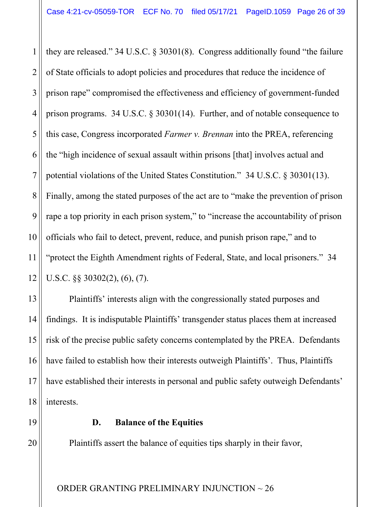1 2 3 4 5 6 7 8 9 10 11 12 they are released." 34 U.S.C. § 30301(8). Congress additionally found "the failure of State officials to adopt policies and procedures that reduce the incidence of prison rape" compromised the effectiveness and efficiency of government-funded prison programs. 34 U.S.C. § 30301(14). Further, and of notable consequence to this case, Congress incorporated *Farmer v. Brennan* into the PREA, referencing the "high incidence of sexual assault within prisons [that] involves actual and potential violations of the United States Constitution." 34 U.S.C. § 30301(13). Finally, among the stated purposes of the act are to "make the prevention of prison rape a top priority in each prison system," to "increase the accountability of prison officials who fail to detect, prevent, reduce, and punish prison rape," and to "protect the Eighth Amendment rights of Federal, State, and local prisoners." 34 U.S.C. §§ 30302(2), (6), (7).

Plaintiffs' interests align with the congressionally stated purposes and findings. It is indisputable Plaintiffs' transgender status places them at increased risk of the precise public safety concerns contemplated by the PREA. Defendants have failed to establish how their interests outweigh Plaintiffs'. Thus, Plaintiffs have established their interests in personal and public safety outweigh Defendants' interests.

19

20

13

14

15

16

17

18

## **D. Balance of the Equities**

Plaintiffs assert the balance of equities tips sharply in their favor,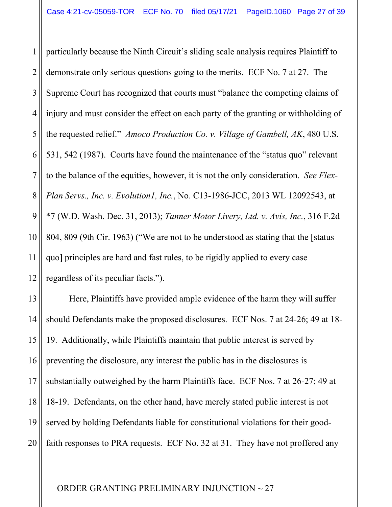1 2 3 4 5 6 7 8 9 10 11 12 particularly because the Ninth Circuit's sliding scale analysis requires Plaintiff to demonstrate only serious questions going to the merits. ECF No. 7 at 27. The Supreme Court has recognized that courts must "balance the competing claims of injury and must consider the effect on each party of the granting or withholding of the requested relief." *Amoco Production Co. v. Village of Gambell, AK*, 480 U.S. 531, 542 (1987). Courts have found the maintenance of the "status quo" relevant to the balance of the equities, however, it is not the only consideration. *See Flex-Plan Servs., Inc. v. Evolution1, Inc.*, No. C13-1986-JCC, 2013 WL 12092543, at \*7 (W.D. Wash. Dec. 31, 2013); *Tanner Motor Livery, Ltd. v. Avis, Inc.*, 316 F.2d 804, 809 (9th Cir. 1963) ("We are not to be understood as stating that the [status quo] principles are hard and fast rules, to be rigidly applied to every case regardless of its peculiar facts.").

13 14 15 16 17 18 19 20 Here, Plaintiffs have provided ample evidence of the harm they will suffer should Defendants make the proposed disclosures. ECF Nos. 7 at 24-26; 49 at 18- 19. Additionally, while Plaintiffs maintain that public interest is served by preventing the disclosure, any interest the public has in the disclosures is substantially outweighed by the harm Plaintiffs face. ECF Nos. 7 at 26-27; 49 at 18-19. Defendants, on the other hand, have merely stated public interest is not served by holding Defendants liable for constitutional violations for their goodfaith responses to PRA requests. ECF No. 32 at 31. They have not proffered any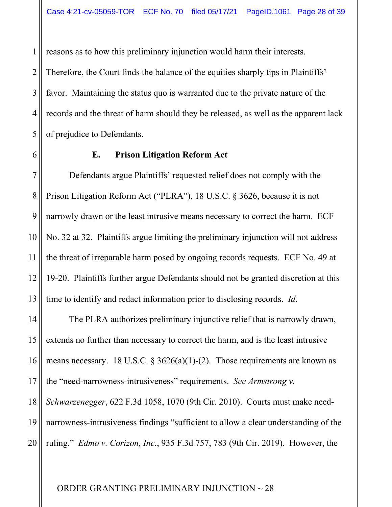1 2 3 4 5 reasons as to how this preliminary injunction would harm their interests. Therefore, the Court finds the balance of the equities sharply tips in Plaintiffs' favor. Maintaining the status quo is warranted due to the private nature of the records and the threat of harm should they be released, as well as the apparent lack of prejudice to Defendants.

6

# **E. Prison Litigation Reform Act**

7 8 9 10 11 12 13 Defendants argue Plaintiffs' requested relief does not comply with the Prison Litigation Reform Act ("PLRA"), 18 U.S.C. § 3626, because it is not narrowly drawn or the least intrusive means necessary to correct the harm. ECF No. 32 at 32. Plaintiffs argue limiting the preliminary injunction will not address the threat of irreparable harm posed by ongoing records requests. ECF No. 49 at 19-20. Plaintiffs further argue Defendants should not be granted discretion at this time to identify and redact information prior to disclosing records. *Id*.

14 15 16 17 18 19 20 The PLRA authorizes preliminary injunctive relief that is narrowly drawn, extends no further than necessary to correct the harm, and is the least intrusive means necessary. 18 U.S.C.  $\S 3626(a)(1)-(2)$ . Those requirements are known as the "need-narrowness-intrusiveness" requirements. *See Armstrong v. Schwarzenegger*, 622 F.3d 1058, 1070 (9th Cir. 2010). Courts must make neednarrowness-intrusiveness findings "sufficient to allow a clear understanding of the ruling." *Edmo v. Corizon, Inc.*, 935 F.3d 757, 783 (9th Cir. 2019). However, the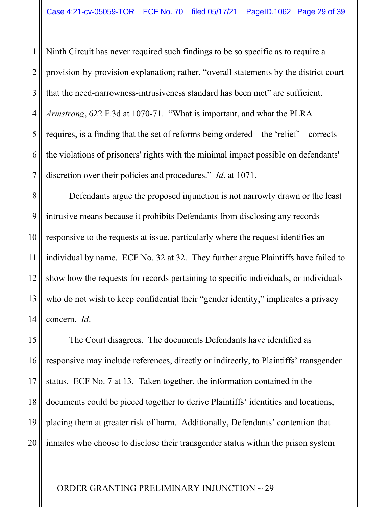1 2 3 4 5 6 7 Ninth Circuit has never required such findings to be so specific as to require a provision-by-provision explanation; rather, "overall statements by the district court that the need-narrowness-intrusiveness standard has been met" are sufficient. *Armstrong*, 622 F.3d at 1070-71. "What is important, and what the PLRA requires, is a finding that the set of reforms being ordered—the 'relief'—corrects the violations of prisoners' rights with the minimal impact possible on defendants' discretion over their policies and procedures." *Id*. at 1071.

8 9 10 11 12 13 14 Defendants argue the proposed injunction is not narrowly drawn or the least intrusive means because it prohibits Defendants from disclosing any records responsive to the requests at issue, particularly where the request identifies an individual by name. ECF No. 32 at 32. They further argue Plaintiffs have failed to show how the requests for records pertaining to specific individuals, or individuals who do not wish to keep confidential their "gender identity," implicates a privacy concern. *Id*.

15 16 17 18 19 20 The Court disagrees. The documents Defendants have identified as responsive may include references, directly or indirectly, to Plaintiffs' transgender status. ECF No. 7 at 13. Taken together, the information contained in the documents could be pieced together to derive Plaintiffs' identities and locations, placing them at greater risk of harm. Additionally, Defendants' contention that inmates who choose to disclose their transgender status within the prison system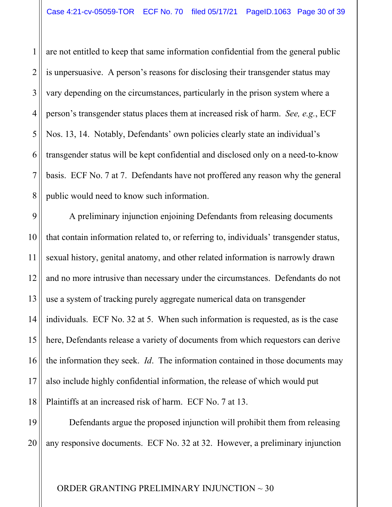1 2 3 4 5 6 7 8 are not entitled to keep that same information confidential from the general public is unpersuasive. A person's reasons for disclosing their transgender status may vary depending on the circumstances, particularly in the prison system where a person's transgender status places them at increased risk of harm. *See, e.g.*, ECF Nos. 13, 14. Notably, Defendants' own policies clearly state an individual's transgender status will be kept confidential and disclosed only on a need-to-know basis. ECF No. 7 at 7. Defendants have not proffered any reason why the general public would need to know such information.

9 10 11 12 13 14 15 16 17 18 A preliminary injunction enjoining Defendants from releasing documents that contain information related to, or referring to, individuals' transgender status, sexual history, genital anatomy, and other related information is narrowly drawn and no more intrusive than necessary under the circumstances. Defendants do not use a system of tracking purely aggregate numerical data on transgender individuals. ECF No. 32 at 5. When such information is requested, as is the case here, Defendants release a variety of documents from which requestors can derive the information they seek. *Id*. The information contained in those documents may also include highly confidential information, the release of which would put Plaintiffs at an increased risk of harm. ECF No. 7 at 13.

19 20 Defendants argue the proposed injunction will prohibit them from releasing any responsive documents. ECF No. 32 at 32. However, a preliminary injunction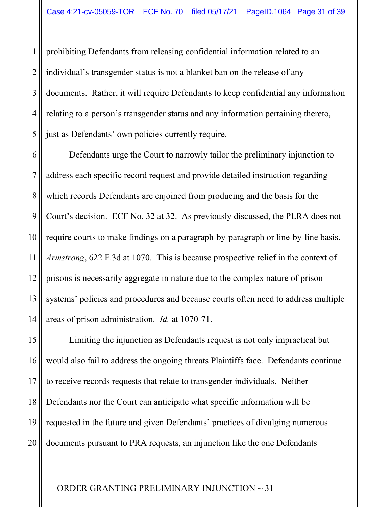1 2 3 4 5 prohibiting Defendants from releasing confidential information related to an individual's transgender status is not a blanket ban on the release of any documents. Rather, it will require Defendants to keep confidential any information relating to a person's transgender status and any information pertaining thereto, just as Defendants' own policies currently require.

6 7 8 9 10 11 12 13 14 Defendants urge the Court to narrowly tailor the preliminary injunction to address each specific record request and provide detailed instruction regarding which records Defendants are enjoined from producing and the basis for the Court's decision. ECF No. 32 at 32. As previously discussed, the PLRA does not require courts to make findings on a paragraph-by-paragraph or line-by-line basis. *Armstrong*, 622 F.3d at 1070. This is because prospective relief in the context of prisons is necessarily aggregate in nature due to the complex nature of prison systems' policies and procedures and because courts often need to address multiple areas of prison administration. *Id.* at 1070-71.

15 16 17 18 19 20 Limiting the injunction as Defendants request is not only impractical but would also fail to address the ongoing threats Plaintiffs face. Defendants continue to receive records requests that relate to transgender individuals. Neither Defendants nor the Court can anticipate what specific information will be requested in the future and given Defendants' practices of divulging numerous documents pursuant to PRA requests, an injunction like the one Defendants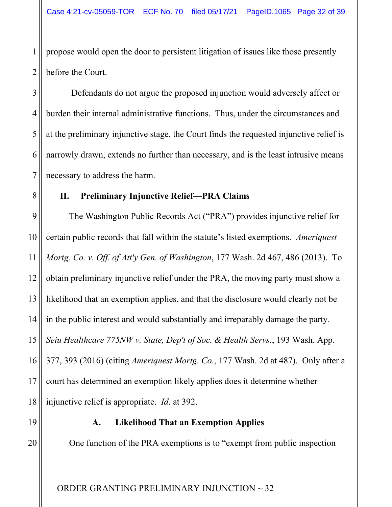2 propose would open the door to persistent litigation of issues like those presently before the Court.

6 Defendants do not argue the proposed injunction would adversely affect or burden their internal administrative functions. Thus, under the circumstances and at the preliminary injunctive stage, the Court finds the requested injunctive relief is narrowly drawn, extends no further than necessary, and is the least intrusive means necessary to address the harm.

# **II. Preliminary Injunctive Relief—PRA Claims**

9 10 11 12 13 14 15 16 17 18 The Washington Public Records Act ("PRA") provides injunctive relief for certain public records that fall within the statute's listed exemptions. *Ameriquest Mortg. Co. v. Off. of Att'y Gen. of Washington*, 177 Wash. 2d 467, 486 (2013). To obtain preliminary injunctive relief under the PRA, the moving party must show a likelihood that an exemption applies, and that the disclosure would clearly not be in the public interest and would substantially and irreparably damage the party. *Seiu Healthcare 775NW v. State, Dep't of Soc. & Health Servs.*, 193 Wash. App. 377, 393 (2016) (citing *Ameriquest Mortg. Co.*, 177 Wash. 2d at 487). Only after a court has determined an exemption likely applies does it determine whether injunctive relief is appropriate. *Id*. at 392.

19

20

1

3

4

5

7

8

# **A. Likelihood That an Exemption Applies**

One function of the PRA exemptions is to "exempt from public inspection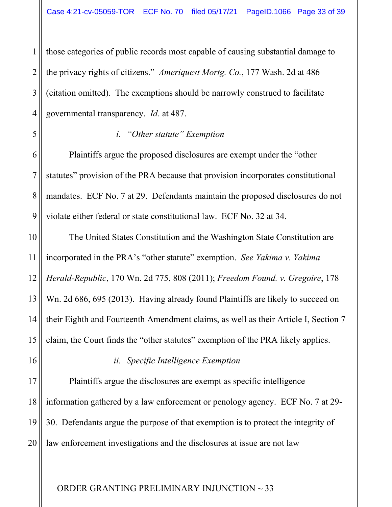1 2 3 4 those categories of public records most capable of causing substantial damage to the privacy rights of citizens." *Ameriquest Mortg. Co.*, 177 Wash. 2d at 486 (citation omitted). The exemptions should be narrowly construed to facilitate governmental transparency. *Id*. at 487.

#### *i. "Other statute" Exemption*

6 Plaintiffs argue the proposed disclosures are exempt under the "other statutes" provision of the PRA because that provision incorporates constitutional mandates. ECF No. 7 at 29. Defendants maintain the proposed disclosures do not violate either federal or state constitutional law. ECF No. 32 at 34.

10 11 12 13 14 15 The United States Constitution and the Washington State Constitution are incorporated in the PRA's "other statute" exemption. *See Yakima v. Yakima Herald-Republic*, 170 Wn. 2d 775, 808 (2011); *Freedom Found. v. Gregoire*, 178 Wn. 2d 686, 695 (2013). Having already found Plaintiffs are likely to succeed on their Eighth and Fourteenth Amendment claims, as well as their Article I, Section 7 claim, the Court finds the "other statutes" exemption of the PRA likely applies.

16

5

7

8

9

#### *ii. Specific Intelligence Exemption*

17 18 19 20 Plaintiffs argue the disclosures are exempt as specific intelligence information gathered by a law enforcement or penology agency. ECF No. 7 at 29- 30. Defendants argue the purpose of that exemption is to protect the integrity of law enforcement investigations and the disclosures at issue are not law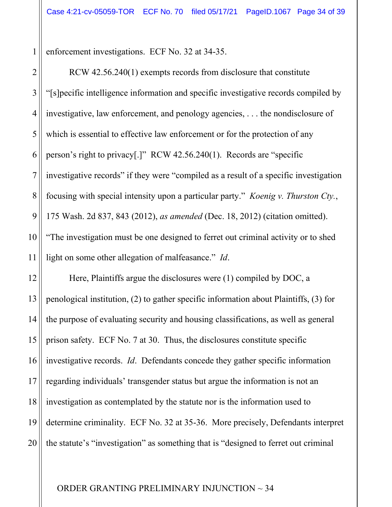enforcement investigations. ECF No. 32 at 34-35.

1

2 3 4 5 6 7 8 9 10 11 RCW 42.56.240(1) exempts records from disclosure that constitute "[s]pecific intelligence information and specific investigative records compiled by investigative, law enforcement, and penology agencies, . . . the nondisclosure of which is essential to effective law enforcement or for the protection of any person's right to privacy[.]" RCW 42.56.240(1). Records are "specific investigative records" if they were "compiled as a result of a specific investigation focusing with special intensity upon a particular party." *Koenig v. Thurston Cty.*, 175 Wash. 2d 837, 843 (2012), *as amended* (Dec. 18, 2012) (citation omitted). "The investigation must be one designed to ferret out criminal activity or to shed light on some other allegation of malfeasance." *Id*.

12 13 14 15 16 17 18 19 20 Here, Plaintiffs argue the disclosures were (1) compiled by DOC, a penological institution, (2) to gather specific information about Plaintiffs, (3) for the purpose of evaluating security and housing classifications, as well as general prison safety. ECF No. 7 at 30. Thus, the disclosures constitute specific investigative records. *Id*. Defendants concede they gather specific information regarding individuals' transgender status but argue the information is not an investigation as contemplated by the statute nor is the information used to determine criminality. ECF No. 32 at 35-36. More precisely, Defendants interpret the statute's "investigation" as something that is "designed to ferret out criminal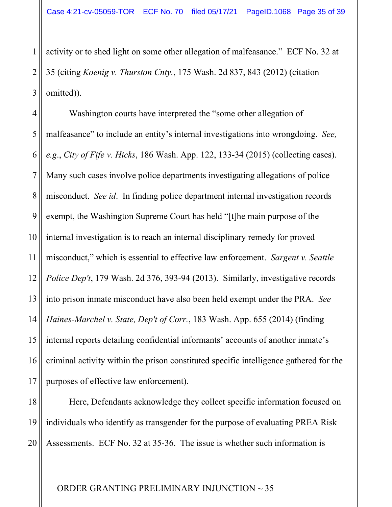1 2 3 activity or to shed light on some other allegation of malfeasance." ECF No. 32 at 35 (citing *Koenig v. Thurston Cnty.*, 175 Wash. 2d 837, 843 (2012) (citation omitted)).

4 5 6 7 8 9 10 11 12 13 14 15 16 17 Washington courts have interpreted the "some other allegation of malfeasance" to include an entity's internal investigations into wrongdoing. *See, e.g*., *City of Fife v. Hicks*, 186 Wash. App. 122, 133-34 (2015) (collecting cases). Many such cases involve police departments investigating allegations of police misconduct. *See id*. In finding police department internal investigation records exempt, the Washington Supreme Court has held "[t]he main purpose of the internal investigation is to reach an internal disciplinary remedy for proved misconduct," which is essential to effective law enforcement. *Sargent v. Seattle Police Dep't*, 179 Wash. 2d 376, 393-94 (2013). Similarly, investigative records into prison inmate misconduct have also been held exempt under the PRA. *See Haines-Marchel v. State, Dep't of Corr.*, 183 Wash. App. 655 (2014) (finding internal reports detailing confidential informants' accounts of another inmate's criminal activity within the prison constituted specific intelligence gathered for the purposes of effective law enforcement).

18 19 20 Here, Defendants acknowledge they collect specific information focused on individuals who identify as transgender for the purpose of evaluating PREA Risk Assessments. ECF No. 32 at 35-36. The issue is whether such information is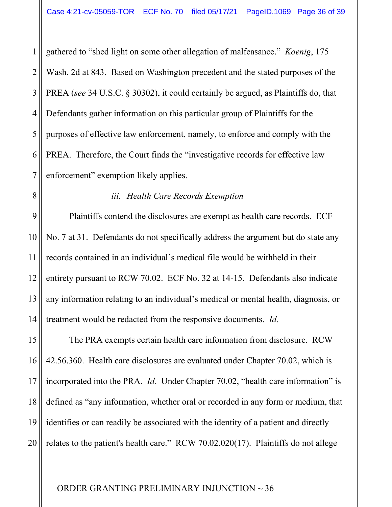1 2 3 4 5 6 7 gathered to "shed light on some other allegation of malfeasance." *Koenig*, 175 Wash. 2d at 843. Based on Washington precedent and the stated purposes of the PREA (*see* 34 U.S.C. § 30302), it could certainly be argued, as Plaintiffs do, that Defendants gather information on this particular group of Plaintiffs for the purposes of effective law enforcement, namely, to enforce and comply with the PREA. Therefore, the Court finds the "investigative records for effective law enforcement" exemption likely applies.

8

11

#### *iii. Health Care Records Exemption*

9 10 12 13 14 Plaintiffs contend the disclosures are exempt as health care records. ECF No. 7 at 31. Defendants do not specifically address the argument but do state any records contained in an individual's medical file would be withheld in their entirety pursuant to RCW 70.02. ECF No. 32 at 14-15. Defendants also indicate any information relating to an individual's medical or mental health, diagnosis, or treatment would be redacted from the responsive documents. *Id*.

15 16 17 18 19 20 The PRA exempts certain health care information from disclosure. RCW 42.56.360. Health care disclosures are evaluated under Chapter 70.02, which is incorporated into the PRA. *Id*. Under Chapter 70.02, "health care information" is defined as "any information, whether oral or recorded in any form or medium, that identifies or can readily be associated with the identity of a patient and directly relates to the patient's health care." RCW 70.02.020(17). Plaintiffs do not allege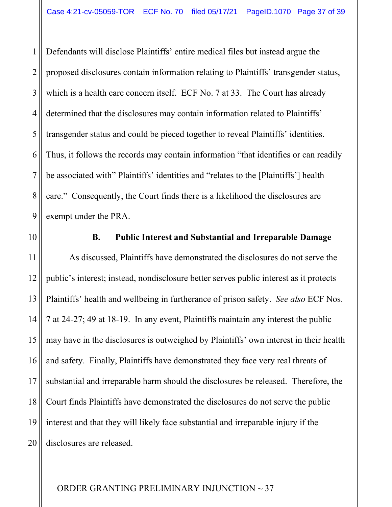1 2 3 4 5 6 7 8 9 Defendants will disclose Plaintiffs' entire medical files but instead argue the proposed disclosures contain information relating to Plaintiffs' transgender status, which is a health care concern itself. ECF No. 7 at 33. The Court has already determined that the disclosures may contain information related to Plaintiffs' transgender status and could be pieced together to reveal Plaintiffs' identities. Thus, it follows the records may contain information "that identifies or can readily be associated with" Plaintiffs' identities and "relates to the [Plaintiffs'] health care." Consequently, the Court finds there is a likelihood the disclosures are exempt under the PRA.

10

# **B. Public Interest and Substantial and Irreparable Damage**

11 12 13 14 15 16 17 18 19 20 As discussed, Plaintiffs have demonstrated the disclosures do not serve the public's interest; instead, nondisclosure better serves public interest as it protects Plaintiffs' health and wellbeing in furtherance of prison safety. *See also* ECF Nos. 7 at 24-27; 49 at 18-19. In any event, Plaintiffs maintain any interest the public may have in the disclosures is outweighed by Plaintiffs' own interest in their health and safety. Finally, Plaintiffs have demonstrated they face very real threats of substantial and irreparable harm should the disclosures be released. Therefore, the Court finds Plaintiffs have demonstrated the disclosures do not serve the public interest and that they will likely face substantial and irreparable injury if the disclosures are released.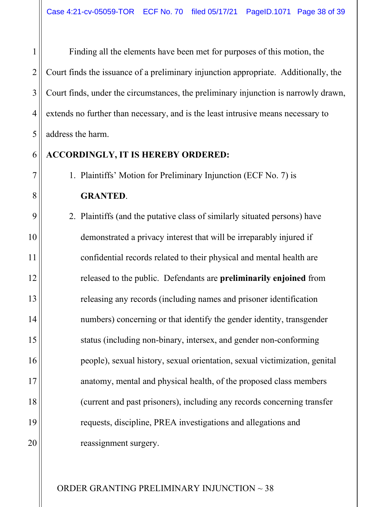Finding all the elements have been met for purposes of this motion, the Court finds the issuance of a preliminary injunction appropriate. Additionally, the Court finds, under the circumstances, the preliminary injunction is narrowly drawn, extends no further than necessary, and is the least intrusive means necessary to address the harm.

#### 6 **ACCORDINGLY, IT IS HEREBY ORDERED:**

1

2

3

4

5

7

8

9

10

11

12

13

14

15

16

17

18

19

20

1. Plaintiffs' Motion for Preliminary Injunction (ECF No. 7) is **GRANTED**.

2. Plaintiffs (and the putative class of similarly situated persons) have demonstrated a privacy interest that will be irreparably injured if confidential records related to their physical and mental health are released to the public. Defendants are **preliminarily enjoined** from releasing any records (including names and prisoner identification numbers) concerning or that identify the gender identity, transgender status (including non-binary, intersex, and gender non-conforming people), sexual history, sexual orientation, sexual victimization, genital anatomy, mental and physical health, of the proposed class members (current and past prisoners), including any records concerning transfer requests, discipline, PREA investigations and allegations and reassignment surgery.